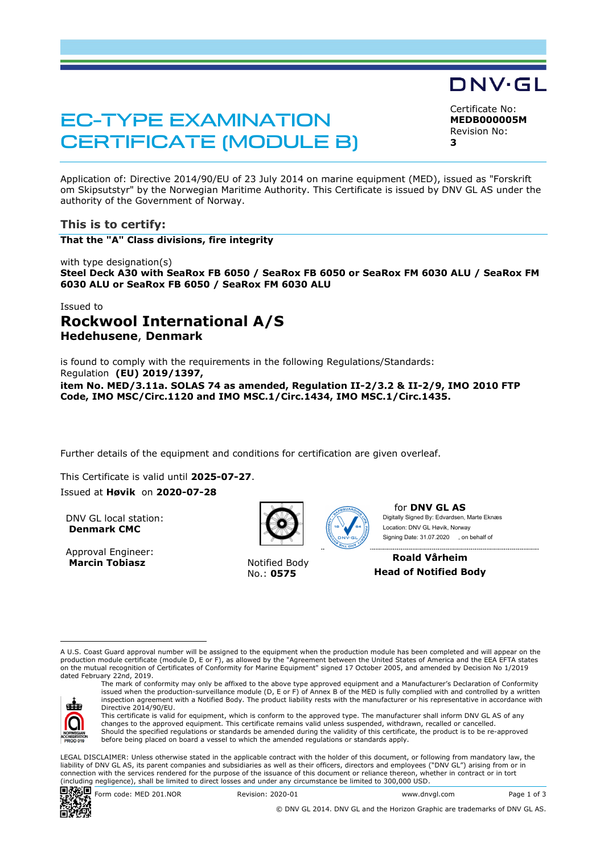# EC-TYPE EXAMINATION CERTIFICATE (MODULE B)

Certificate No: **MEDB000005M** Revision No: **3** 

DNV·GL

Application of: Directive 2014/90/EU of 23 July 2014 on marine equipment (MED), issued as "Forskrift om Skipsutstyr" by the Norwegian Maritime Authority. This Certificate is issued by DNV GL AS under the authority of the Government of Norway.

## **This is to certify:**

**That the "A" Class divisions, fire integrity**

with type designation(s) **Steel Deck A30 with SeaRox FB 6050 / SeaRox FB 6050 or SeaRox FM 6030 ALU / SeaRox FM 6030 ALU or SeaRox FB 6050 / SeaRox FM 6030 ALU**

## Issued to **Rockwool International A/S Hedehusene**, **Denmark**

is found to comply with the requirements in the following Regulations/Standards: Regulation **(EU) 2019/1397, item No. MED/3.11a. SOLAS 74 as amended, Regulation II-2/3.2 & II-2/9, IMO 2010 FTP Code, IMO MSC/Circ.1120 and IMO MSC.1/Circ.1434, IMO MSC.1/Circ.1435.** 

Further details of the equipment and conditions for certification are given overleaf.

This Certificate is valid until 2025-07-27.

Issued at **Høvik** on **2020-07-28**

DNV GL local station: **Denmark CMC**

Approval Engineer: **Marcin Tobiasz Notified Body** 



No.: **0575**



for **DNV GL AS** Digitally Signed By: Edvardsen, Marte Eknæs Signing Date: 31.07.2020 , on behalf ofLocation: DNV GL Høvik, Norway

**Roald Vårheim Head of Notified Body**

A U.S. Coast Guard approval number will be assigned to the equipment when the production module has been completed and will appear on the production module certificate (module D, E or F), as allowed by the "Agreement between the United States of America and the EEA EFTA states on the mutual recognition of Certificates of Conformity for Marine Equipment" signed 17 October 2005, and amended by Decision No 1/2019 dated February 22nd, 2019.



The mark of conformity may only be affixed to the above type approved equipment and a Manufacturer's Declaration of Conformity issued when the production-surveillance module (D, E or F) of Annex B of the MED is fully complied with and controlled by a written inspection agreement with a Notified Body. The product liability rests with the manufacturer or his representative in accordance with Directive 2014/90/EU. This certificate is valid for equipment, which is conform to the approved type. The manufacturer shall inform DNV GL AS of any

changes to the approved equipment. This certificate remains valid unless suspended, withdrawn, recalled or cancelled. Should the specified regulations or standards be amended during the validity of this certificate, the product is to be re-approved before being placed on board a vessel to which the amended regulations or standards apply.

LEGAL DISCLAIMER: Unless otherwise stated in the applicable contract with the holder of this document, or following from mandatory law, the liability of DNV GL AS, its parent companies and subsidiaries as well as their officers, directors and employees ("DNV GL") arising from or in connection with the services rendered for the purpose of the issuance of this document or reliance thereon, whether in contract or in tort (including negligence), shall be limited to direct losses and under any circumstance be limited to 300,000 USD.



© DNV GL 2014. DNV GL and the Horizon Graphic are trademarks of DNV GL AS.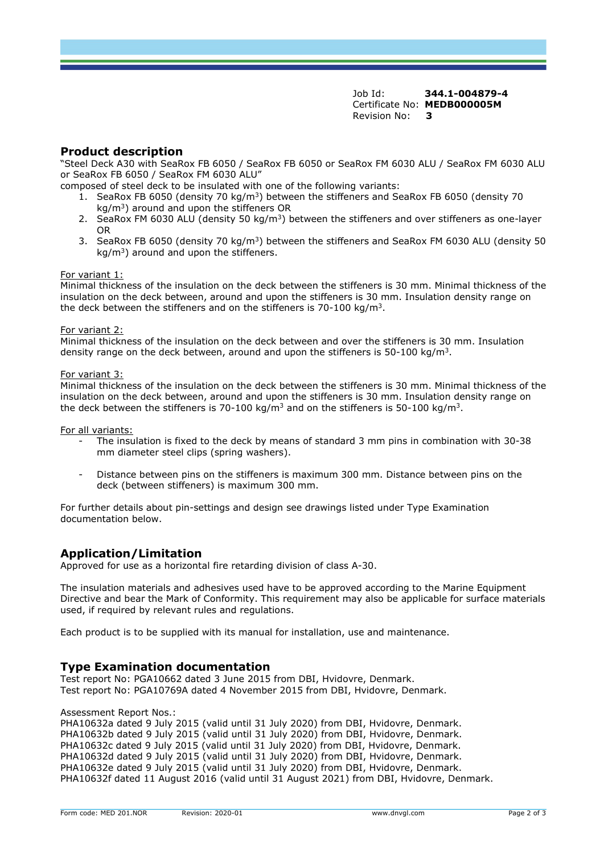Job Id: **344.1-004879-4** Certificate No: **MEDB000005M** Revision No: **3** 

## **Product description**

"Steel Deck A30 with SeaRox FB 6050 / SeaRox FB 6050 or SeaRox FM 6030 ALU / SeaRox FM 6030 ALU or SeaRox FB 6050 / SeaRox FM 6030 ALU"

composed of steel deck to be insulated with one of the following variants:

- 1. SeaRox FB 6050 (density 70 kg/m<sup>3</sup>) between the stiffeners and SeaRox FB 6050 (density 70 kg/m<sup>3</sup>) around and upon the stiffeners OR
- 2. SeaRox FM 6030 ALU (density 50 kg/m<sup>3</sup>) between the stiffeners and over stiffeners as one-layer OR
- 3. SeaRox FB 6050 (density 70 kg/m<sup>3</sup>) between the stiffeners and SeaRox FM 6030 ALU (density 50  $kg/m<sup>3</sup>$ ) around and upon the stiffeners.

#### For variant 1:

Minimal thickness of the insulation on the deck between the stiffeners is 30 mm. Minimal thickness of the insulation on the deck between, around and upon the stiffeners is 30 mm. Insulation density range on the deck between the stiffeners and on the stiffeners is 70-100 kg/m<sup>3</sup>.

#### For variant 2:

Minimal thickness of the insulation on the deck between and over the stiffeners is 30 mm. Insulation density range on the deck between, around and upon the stiffeners is  $50-100$  kg/m<sup>3</sup>.

#### For variant 3:

Minimal thickness of the insulation on the deck between the stiffeners is 30 mm. Minimal thickness of the insulation on the deck between, around and upon the stiffeners is 30 mm. Insulation density range on the deck between the stiffeners is 70-100 kg/m<sup>3</sup> and on the stiffeners is 50-100 kg/m<sup>3</sup>.

For all variants:

- The insulation is fixed to the deck by means of standard 3 mm pins in combination with 30-38 mm diameter steel clips (spring washers).
- Distance between pins on the stiffeners is maximum 300 mm. Distance between pins on the deck (between stiffeners) is maximum 300 mm.

For further details about pin-settings and design see drawings listed under Type Examination documentation below.

## **Application/Limitation**

Approved for use as a horizontal fire retarding division of class A-30.

The insulation materials and adhesives used have to be approved according to the Marine Equipment Directive and bear the Mark of Conformity. This requirement may also be applicable for surface materials used, if required by relevant rules and requilations.

Each product is to be supplied with its manual for installation, use and maintenance.

## **Type Examination documentation**

Test report No: PGA10662 dated 3 June 2015 from DBI, Hvidovre, Denmark. Test report No: PGA10769A dated 4 November 2015 from DBI, Hvidovre, Denmark.

#### Assessment Report Nos.:

PHA10632a dated 9 July 2015 (valid until 31 July 2020) from DBI, Hvidovre, Denmark. PHA10632b dated 9 July 2015 (valid until 31 July 2020) from DBI, Hvidovre, Denmark. PHA10632c dated 9 July 2015 (valid until 31 July 2020) from DBI, Hvidovre, Denmark. PHA10632d dated 9 July 2015 (valid until 31 July 2020) from DBI, Hvidovre, Denmark. PHA10632e dated 9 July 2015 (valid until 31 July 2020) from DBI, Hvidovre, Denmark. PHA10632f dated 11 August 2016 (valid until 31 August 2021) from DBI, Hvidovre, Denmark.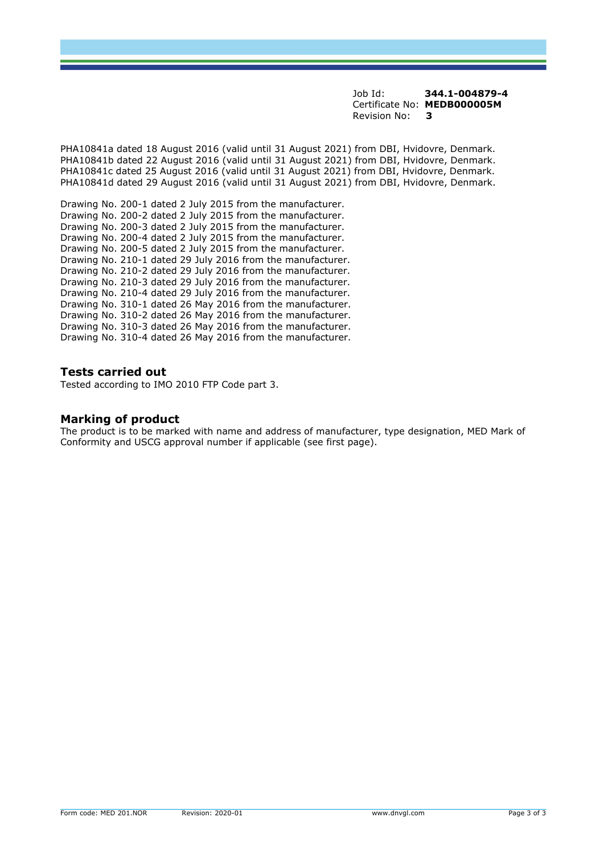Job Id: **344.1-004879-4** Certificate No: **MEDB000005M** Revision No: **3** 

PHA10841a dated 18 August 2016 (valid until 31 August 2021) from DBI, Hvidovre, Denmark. PHA10841b dated 22 August 2016 (valid until 31 August 2021) from DBI, Hvidovre, Denmark. PHA10841c dated 25 August 2016 (valid until 31 August 2021) from DBI, Hvidovre, Denmark. PHA10841d dated 29 August 2016 (valid until 31 August 2021) from DBI, Hvidovre, Denmark.

Drawing No. 200-1 dated 2 July 2015 from the manufacturer. Drawing No. 200-2 dated 2 July 2015 from the manufacturer. Drawing No. 200-3 dated 2 July 2015 from the manufacturer. Drawing No. 200-4 dated 2 July 2015 from the manufacturer. Drawing No. 200-5 dated 2 July 2015 from the manufacturer. Drawing No. 210-1 dated 29 July 2016 from the manufacturer. Drawing No. 210-2 dated 29 July 2016 from the manufacturer. Drawing No. 210-3 dated 29 July 2016 from the manufacturer. Drawing No. 210-4 dated 29 July 2016 from the manufacturer. Drawing No. 310-1 dated 26 May 2016 from the manufacturer. Drawing No. 310-2 dated 26 May 2016 from the manufacturer. Drawing No. 310-3 dated 26 May 2016 from the manufacturer. Drawing No. 310-4 dated 26 May 2016 from the manufacturer.

## **Tests carried out**

Tested according to IMO 2010 FTP Code part 3.

## **Marking of product**

The product is to be marked with name and address of manufacturer, type designation, MED Mark of Conformity and USCG approval number if applicable (see first page).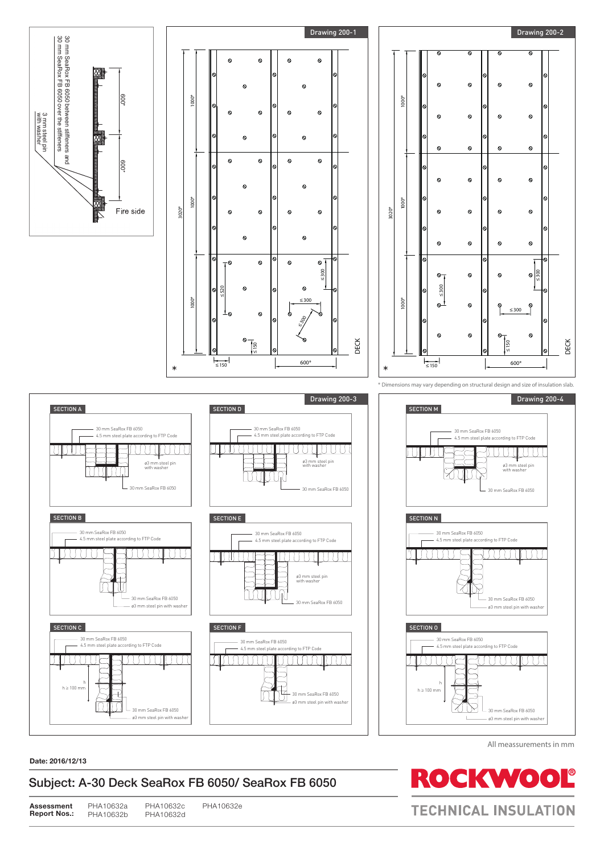





\* Dimensions may vary depending on structural design and size of insulation slab. All meassurements in mm





#### **Date: 2016/12/13**

PHA10632e

All meassurements in mm

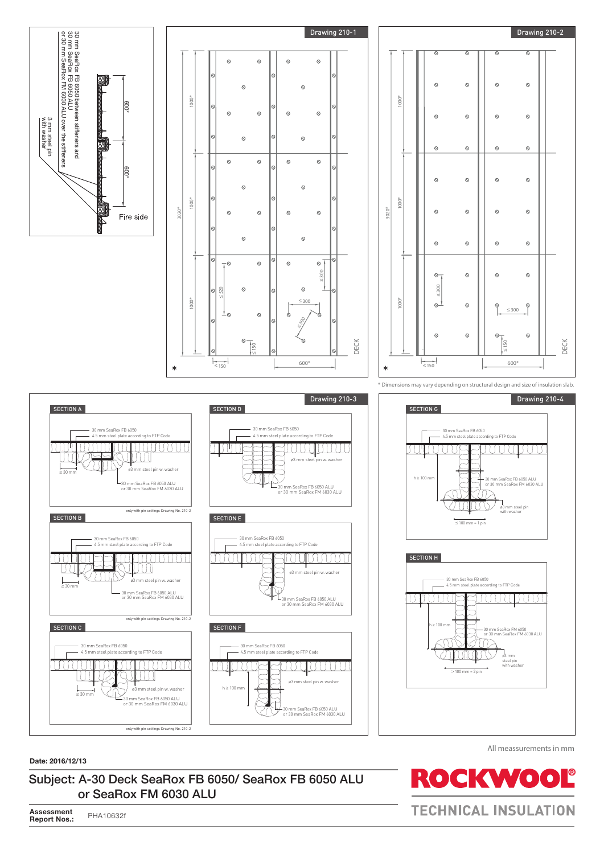







\* Dimensions may vary depending on structural design and size of insulation slab. All meassurements in mm



#### **Date: 2016/12/13**

Subject: A-30 Deck SeaRox FB 6050/ SeaRox FB 6050 ALU or SeaRox FM 6030 ALU

All meassurements in mm